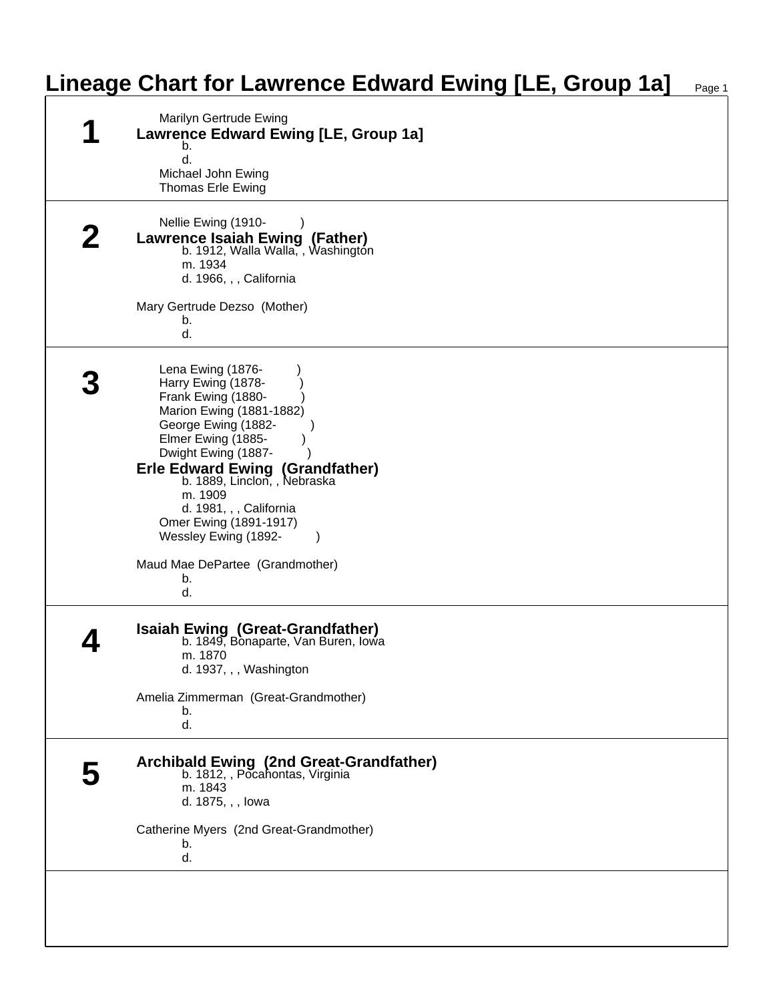| Marilyn Gertrude Ewing<br><b>Lawrence Edward Ewing [LE, Group 1a]</b><br>b.                                                                                                                                                                                                                                                     |
|---------------------------------------------------------------------------------------------------------------------------------------------------------------------------------------------------------------------------------------------------------------------------------------------------------------------------------|
| d.<br>Michael John Ewing<br>Thomas Erle Ewing                                                                                                                                                                                                                                                                                   |
| Nellie Ewing (1910-<br><b>Lawrence Isaiah Ewing (Father)</b><br>b. 1912, Walla Walla, Washington<br>m. 1934<br>d. 1966, , , California                                                                                                                                                                                          |
| Mary Gertrude Dezso (Mother)<br>b.<br>d.                                                                                                                                                                                                                                                                                        |
| Lena Ewing (1876-<br>Harry Ewing (1878-<br>Frank Ewing (1880-<br>Marion Ewing (1881-1882)<br>George Ewing (1882-<br>Elmer Ewing (1885-<br>Dwight Ewing (1887-<br><b>Erle Edward Ewing (Grandfather)</b><br>b. 1889, Linclon, , Nebraska<br>m. 1909<br>d. 1981, , , California<br>Omer Ewing (1891-1917)<br>Wessley Ewing (1892- |
| Maud Mae DePartee (Grandmother)<br>b.<br>d.                                                                                                                                                                                                                                                                                     |
| <b>Isaiah Ewing (Great-Grandfather)</b><br>b. 1849, Bonaparte, Van Buren, Iowa<br>m. 1870<br>d. 1937, , , Washington                                                                                                                                                                                                            |
| Amelia Zimmerman (Great-Grandmother)<br>b.<br>d.                                                                                                                                                                                                                                                                                |
| Archibald Ewing (2nd Great-Grandfather)<br>b. 1812, , Pocahontas, Virginia<br>m. 1843<br>d. 1875, , , lowa                                                                                                                                                                                                                      |
| Catherine Myers (2nd Great-Grandmother)<br>b.<br>d.                                                                                                                                                                                                                                                                             |